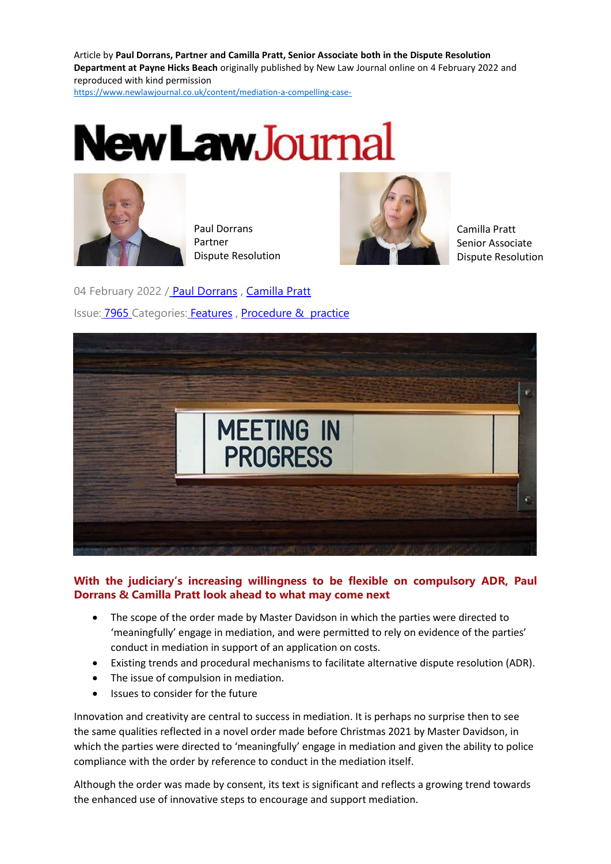Article by **Paul Dorrans, Partner and Camilla Pratt, Senior Associate both in the Dispute Resolution Department at Payne Hicks Beach** originally published by New Law Journal online on 4 February 2022 and reproduced with kind permission

[https://www.newlawjournal.co.uk/content/mediation-a-compelling-case-](https://protect-eu.mimecast.com/s/5oZYCy8wKTr2VnOuZt1bu?domain=newlawjournal.co.uk)





Paul Dorrans Partner Dispute Resolution



Camilla Pratt Senior Associate Dispute Resolution

04 February 2022 / [Paul Dorrans](https://www.newlawjournal.co.uk/biographies/paul-dorrans), [Camilla Pratt](https://www.newlawjournal.co.uk/biographies/camilla-pratt) Issue: [7965 C](https://www.newlawjournal.co.uk/issuearticles/7965)ategories: [Features](https://www.newlawjournal.co.uk/category/type/features) , [Procedure & practice](https://www.newlawjournal.co.uk/category/topic/procedure-practice)



## **With the judiciary's increasing willingness to be flexible on compulsory ADR, Paul Dorrans & Camilla Pratt look ahead to what may come next**

- The scope of the order made by Master Davidson in which the parties were directed to 'meaningfully' engage in mediation, and were permitted to rely on evidence of the parties' conduct in mediation in support of an application on costs.
- Existing trends and procedural mechanisms to facilitate alternative dispute resolution (ADR).
- The issue of compulsion in mediation.
- Issues to consider for the future

Innovation and creativity are central to success in mediation. It is perhaps no surprise then to see the same qualities reflected in a novel order made before Christmas 2021 by Master Davidson, in which the parties were directed to 'meaningfully' engage in mediation and given the ability to police compliance with the order by reference to conduct in the mediation itself.

Although the order was made by consent, its text is significant and reflects a growing trend towards the enhanced use of innovative steps to encourage and support mediation.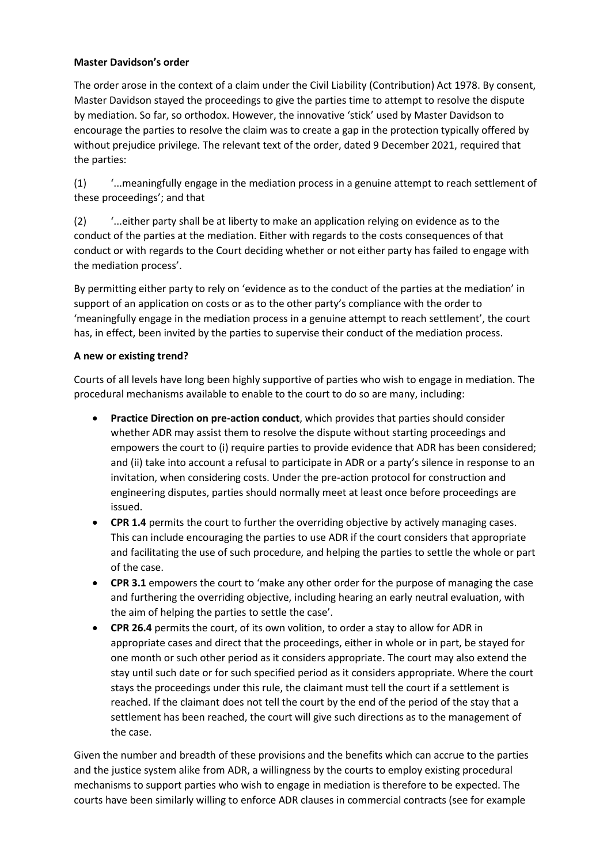### **Master Davidson's order**

The order arose in the context of a claim under the Civil Liability (Contribution) Act 1978. By consent, Master Davidson stayed the proceedings to give the parties time to attempt to resolve the dispute by mediation. So far, so orthodox. However, the innovative 'stick' used by Master Davidson to encourage the parties to resolve the claim was to create a gap in the protection typically offered by without prejudice privilege. The relevant text of the order, dated 9 December 2021, required that the parties:

(1) '...meaningfully engage in the mediation process in a genuine attempt to reach settlement of these proceedings'; and that

(2) '...either party shall be at liberty to make an application relying on evidence as to the conduct of the parties at the mediation. Either with regards to the costs consequences of that conduct or with regards to the Court deciding whether or not either party has failed to engage with the mediation process'.

By permitting either party to rely on 'evidence as to the conduct of the parties at the mediation' in support of an application on costs or as to the other party's compliance with the order to 'meaningfully engage in the mediation process in a genuine attempt to reach settlement', the court has, in effect, been invited by the parties to supervise their conduct of the mediation process.

#### **A new or existing trend?**

Courts of all levels have long been highly supportive of parties who wish to engage in mediation. The procedural mechanisms available to enable to the court to do so are many, including:

- **Practice Direction on pre-action conduct**, which provides that parties should consider whether ADR may assist them to resolve the dispute without starting proceedings and empowers the court to (i) require parties to provide evidence that ADR has been considered; and (ii) take into account a refusal to participate in ADR or a party's silence in response to an invitation, when considering costs. Under the pre-action protocol for construction and engineering disputes, parties should normally meet at least once before proceedings are issued.
- **CPR 1.4** permits the court to further the overriding objective by actively managing cases. This can include encouraging the parties to use ADR if the court considers that appropriate and facilitating the use of such procedure, and helping the parties to settle the whole or part of the case.
- **CPR 3.1** empowers the court to 'make any other order for the purpose of managing the case and furthering the overriding objective, including hearing an early neutral evaluation, with the aim of helping the parties to settle the case'.
- **CPR 26.4** permits the court, of its own volition, to order a stay to allow for ADR in appropriate cases and direct that the proceedings, either in whole or in part, be stayed for one month or such other period as it considers appropriate. The court may also extend the stay until such date or for such specified period as it considers appropriate. Where the court stays the proceedings under this rule, the claimant must tell the court if a settlement is reached. If the claimant does not tell the court by the end of the period of the stay that a settlement has been reached, the court will give such directions as to the management of the case.

Given the number and breadth of these provisions and the benefits which can accrue to the parties and the justice system alike from ADR, a willingness by the courts to employ existing procedural mechanisms to support parties who wish to engage in mediation is therefore to be expected. The courts have been similarly willing to enforce ADR clauses in commercial contracts (see for example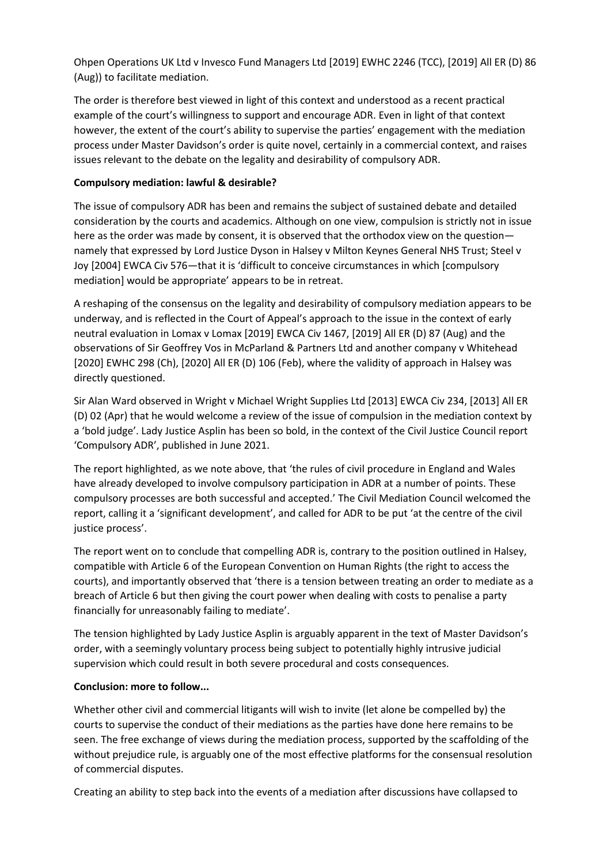Ohpen Operations UK Ltd v Invesco Fund Managers Ltd [2019] EWHC 2246 (TCC), [2019] All ER (D) 86 (Aug)) to facilitate mediation.

The order is therefore best viewed in light of this context and understood as a recent practical example of the court's willingness to support and encourage ADR. Even in light of that context however, the extent of the court's ability to supervise the parties' engagement with the mediation process under Master Davidson's order is quite novel, certainly in a commercial context, and raises issues relevant to the debate on the legality and desirability of compulsory ADR.

### **Compulsory mediation: lawful & desirable?**

The issue of compulsory ADR has been and remains the subject of sustained debate and detailed consideration by the courts and academics. Although on one view, compulsion is strictly not in issue here as the order was made by consent, it is observed that the orthodox view on the question namely that expressed by Lord Justice Dyson in Halsey v Milton Keynes General NHS Trust; Steel v Joy [2004] EWCA Civ 576—that it is 'difficult to conceive circumstances in which [compulsory mediation] would be appropriate' appears to be in retreat.

A reshaping of the consensus on the legality and desirability of compulsory mediation appears to be underway, and is reflected in the Court of Appeal's approach to the issue in the context of early neutral evaluation in Lomax v Lomax [2019] EWCA Civ 1467, [2019] All ER (D) 87 (Aug) and the observations of Sir Geoffrey Vos in McParland & Partners Ltd and another company v Whitehead [2020] EWHC 298 (Ch), [2020] All ER (D) 106 (Feb), where the validity of approach in Halsey was directly questioned.

Sir Alan Ward observed in Wright v Michael Wright Supplies Ltd [2013] EWCA Civ 234, [2013] All ER (D) 02 (Apr) that he would welcome a review of the issue of compulsion in the mediation context by a 'bold judge'. Lady Justice Asplin has been so bold, in the context of the Civil Justice Council report 'Compulsory ADR', published in June 2021.

The report highlighted, as we note above, that 'the rules of civil procedure in England and Wales have already developed to involve compulsory participation in ADR at a number of points. These compulsory processes are both successful and accepted.' The Civil Mediation Council welcomed the report, calling it a 'significant development', and called for ADR to be put 'at the centre of the civil justice process'.

The report went on to conclude that compelling ADR is, contrary to the position outlined in Halsey, compatible with Article 6 of the European Convention on Human Rights (the right to access the courts), and importantly observed that 'there is a tension between treating an order to mediate as a breach of Article 6 but then giving the court power when dealing with costs to penalise a party financially for unreasonably failing to mediate'.

The tension highlighted by Lady Justice Asplin is arguably apparent in the text of Master Davidson's order, with a seemingly voluntary process being subject to potentially highly intrusive judicial supervision which could result in both severe procedural and costs consequences.

#### **Conclusion: more to follow...**

Whether other civil and commercial litigants will wish to invite (let alone be compelled by) the courts to supervise the conduct of their mediations as the parties have done here remains to be seen. The free exchange of views during the mediation process, supported by the scaffolding of the without prejudice rule, is arguably one of the most effective platforms for the consensual resolution of commercial disputes.

Creating an ability to step back into the events of a mediation after discussions have collapsed to